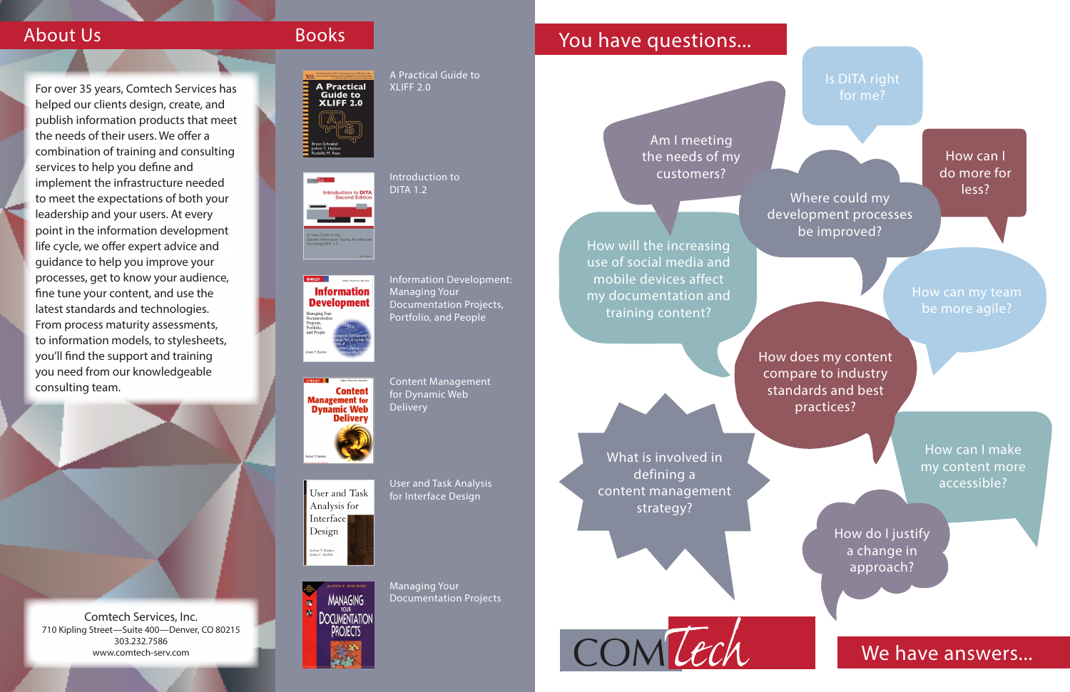Comtech Services, Inc. 710 Kipling Street—Suite 400—Denver, CO 80215 303.232.7586 www.comtech-serv.com



A Practical Guide to XLIFF 2.0

# Introduction to

DITA 1.2

**Information Development** Managing Your<br>Documentation<br>Projects,<br>Portfolio,<br>and People

ntroduction to **DITA** 

**Content Management** for **Dynamic Web Delivery** 

User and Task Analysis for Interface Design JoAnn T. Hacko:<br>Janice C. Redish



Information Development: Managing Your Documentation Projects, Portfolio, and People

Content Management for Dynamic Web Delivery

User and Task Analysis for Interface Design

Managing Your Documentation Projects

# About Us Books Books Research Maye questions...

What is involved in defining a content management strategy?

How can I make my content more accessible?

How will the increasing use of social media and mobile devices affect my documentation and training content?

> How does my content compare to industry standards and best practices?

Am I meeting the needs of my customers?

## Is DITA right for me?

How can I do more for less?

How can my team be more agile?

How do I justify a change in approach?

## We have answers...

For over 35 years, Comtech Services has helped our clients design, create, and publish information products that meet the needs of their users. We offer a combination of training and consulting services to help you define and implement the infrastructure needed to meet the expectations of both your leadership and your users. At every point in the information development life cycle, we offer expert advice and guidance to help you improve your processes, get to know your audience, fine tune your content, and use the latest standards and technologies. From process maturity assessments, to information models, to stylesheets, you'll find the support and training you need from our knowledgeable consulting team.

Where could my development processes be improved?